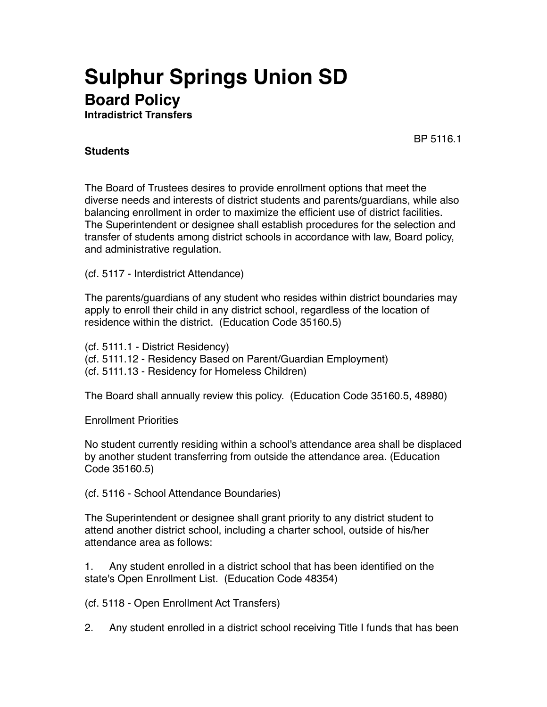## **Sulphur Springs Union SD Board Policy**

**Intradistrict Transfers**

BP 5116.1

## **Students**

The Board of Trustees desires to provide enrollment options that meet the diverse needs and interests of district students and parents/guardians, while also balancing enrollment in order to maximize the efficient use of district facilities. The Superintendent or designee shall establish procedures for the selection and transfer of students among district schools in accordance with law, Board policy, and administrative regulation.

(cf. 5117 - Interdistrict Attendance)

The parents/guardians of any student who resides within district boundaries may apply to enroll their child in any district school, regardless of the location of residence within the district. (Education Code 35160.5)

(cf. 5111.1 - District Residency) (cf. 5111.12 - Residency Based on Parent/Guardian Employment) (cf. 5111.13 - Residency for Homeless Children)

The Board shall annually review this policy. (Education Code 35160.5, 48980)

Enrollment Priorities

No student currently residing within a school's attendance area shall be displaced by another student transferring from outside the attendance area. (Education Code 35160.5)

(cf. 5116 - School Attendance Boundaries)

The Superintendent or designee shall grant priority to any district student to attend another district school, including a charter school, outside of his/her attendance area as follows:

1. Any student enrolled in a district school that has been identified on the state's Open Enrollment List. (Education Code 48354)

(cf. 5118 - Open Enrollment Act Transfers)

2. Any student enrolled in a district school receiving Title I funds that has been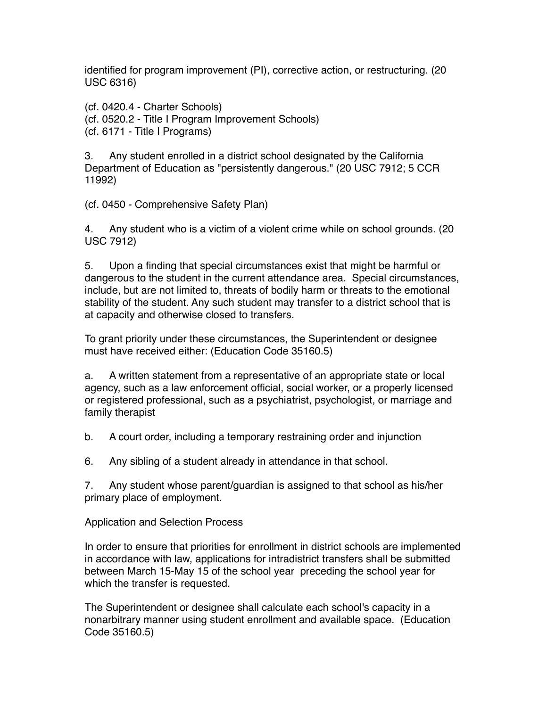identified for program improvement (PI), corrective action, or restructuring. (20 USC 6316)

(cf. 0420.4 - Charter Schools) (cf. 0520.2 - Title I Program Improvement Schools) (cf. 6171 - Title I Programs)

3. Any student enrolled in a district school designated by the California Department of Education as "persistently dangerous." (20 USC 7912; 5 CCR 11992)

(cf. 0450 - Comprehensive Safety Plan)

4. Any student who is a victim of a violent crime while on school grounds. (20 USC 7912)

5. Upon a finding that special circumstances exist that might be harmful or dangerous to the student in the current attendance area. Special circumstances, include, but are not limited to, threats of bodily harm or threats to the emotional stability of the student. Any such student may transfer to a district school that is at capacity and otherwise closed to transfers.

To grant priority under these circumstances, the Superintendent or designee must have received either: (Education Code 35160.5)

a. A written statement from a representative of an appropriate state or local agency, such as a law enforcement official, social worker, or a properly licensed or registered professional, such as a psychiatrist, psychologist, or marriage and family therapist

b. A court order, including a temporary restraining order and injunction

6. Any sibling of a student already in attendance in that school.

7. Any student whose parent/guardian is assigned to that school as his/her primary place of employment.

Application and Selection Process

In order to ensure that priorities for enrollment in district schools are implemented in accordance with law, applications for intradistrict transfers shall be submitted between March 15-May 15 of the school year preceding the school year for which the transfer is requested.

The Superintendent or designee shall calculate each school's capacity in a nonarbitrary manner using student enrollment and available space. (Education Code 35160.5)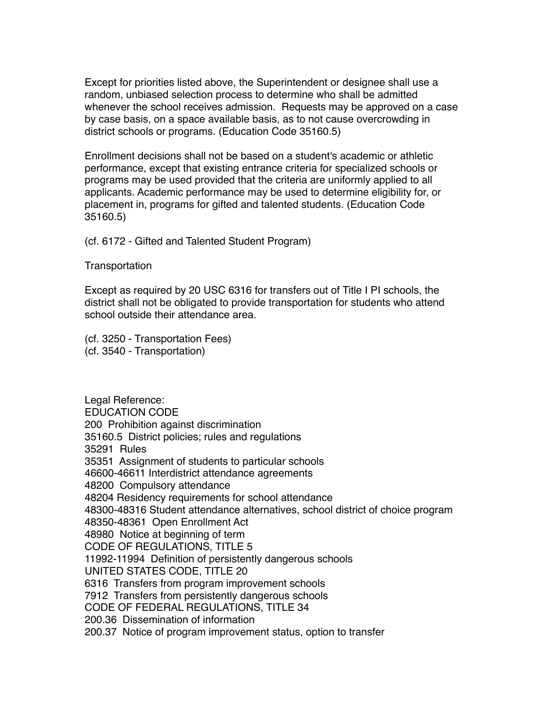Except for priorities listed above, the Superintendent or designee shall use a random, unbiased selection process to determine who shall be admitted whenever the school receives admission. Requests may be approved on a case by case basis, on a space available basis, as to not cause overcrowding in district schools or programs. (Education Code 35160.5)

Enrollment decisions shall not be based on a student's academic or athletic performance, except that existing entrance criteria for specialized schools or programs may be used provided that the criteria are uniformly applied to all applicants. Academic performance may be used to determine eligibility for, or placement in, programs for gifted and talented students. (Education Code 35160.5)

(cf. 6172 - Gifted and Talented Student Program)

**Transportation** 

Except as required by 20 USC 6316 for transfers out of Title I PI schools, the district shall not be obligated to provide transportation for students who attend school outside their attendance area.

(cf. 3250 - Transportation Fees) (cf. 3540 - Transportation)

Legal Reference: EDUCATION CODE 200 Prohibition against discrimination 35160.5 District policies; rules and regulations 35291 Rules 35351 Assignment of students to particular schools 46600-46611 Interdistrict attendance agreements 48200 Compulsory attendance 48204 Residency requirements for school attendance 48300-48316 Student attendance alternatives, school district of choice program 48350-48361 Open Enrollment Act 48980 Notice at beginning of term CODE OF REGULATIONS, TITLE 5 11992-11994 Definition of persistently dangerous schools UNITED STATES CODE, TITLE 20 6316 Transfers from program improvement schools 7912 Transfers from persistently dangerous schools CODE OF FEDERAL REGULATIONS, TITLE 34 200.36 Dissemination of information 200.37 Notice of program improvement status, option to transfer